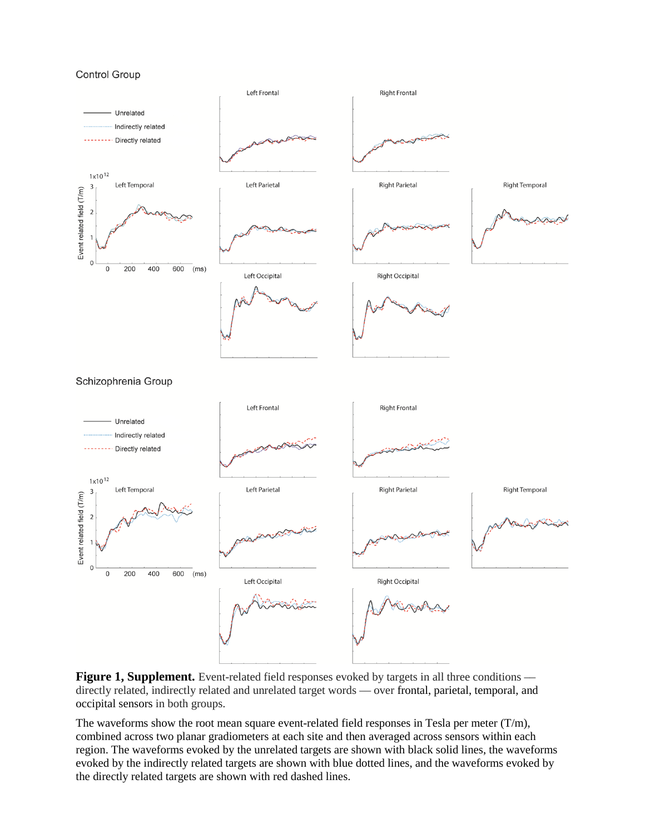**Control Group** 



**Figure 1, Supplement.** Event-related field responses evoked by targets in all three conditions directly related, indirectly related and unrelated target words –– over frontal, parietal, temporal, and occipital sensors in both groups.

The waveforms show the root mean square event-related field responses in Tesla per meter (T/m), combined across two planar gradiometers at each site and then averaged across sensors within each region. The waveforms evoked by the unrelated targets are shown with black solid lines, the waveforms evoked by the indirectly related targets are shown with blue dotted lines, and the waveforms evoked by the directly related targets are shown with red dashed lines.